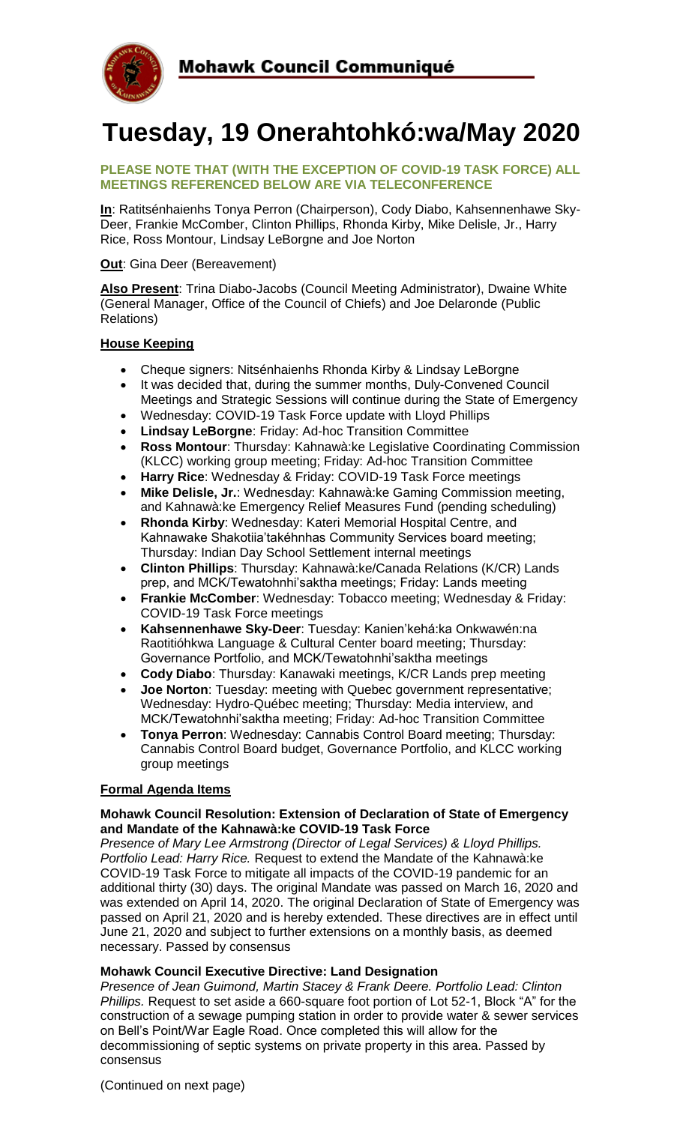

# **Tuesday, 19 Onerahtohkó:wa/May 2020**

#### **PLEASE NOTE THAT (WITH THE EXCEPTION OF COVID-19 TASK FORCE) ALL MEETINGS REFERENCED BELOW ARE VIA TELECONFERENCE**

**In**: Ratitsénhaienhs Tonya Perron (Chairperson), Cody Diabo, Kahsennenhawe Sky-Deer, Frankie McComber, Clinton Phillips, Rhonda Kirby, Mike Delisle, Jr., Harry Rice, Ross Montour, Lindsay LeBorgne and Joe Norton

**Out:** Gina Deer (Bereavement)

**Also Present**: Trina Diabo-Jacobs (Council Meeting Administrator), Dwaine White (General Manager, Office of the Council of Chiefs) and Joe Delaronde (Public Relations)

# **House Keeping**

- Cheque signers: Nitsénhaienhs Rhonda Kirby & Lindsay LeBorgne
- It was decided that, during the summer months, Duly-Convened Council Meetings and Strategic Sessions will continue during the State of Emergency
- Wednesday: COVID-19 Task Force update with Lloyd Phillips
- **Lindsay LeBorgne**: Friday: Ad-hoc Transition Committee
- **Ross Montour**: Thursday: Kahnawà:ke Legislative Coordinating Commission (KLCC) working group meeting; Friday: Ad-hoc Transition Committee
- **Harry Rice**: Wednesday & Friday: COVID-19 Task Force meetings
- **Mike Delisle, Jr.**: Wednesday: Kahnawà:ke Gaming Commission meeting, and Kahnawà:ke Emergency Relief Measures Fund (pending scheduling)
- **Rhonda Kirby**: Wednesday: Kateri Memorial Hospital Centre, and Kahnawake Shakotiia'takéhnhas Community Services board meeting; Thursday: Indian Day School Settlement internal meetings
- **Clinton Phillips**: Thursday: Kahnawà:ke/Canada Relations (K/CR) Lands prep, and MCK/Tewatohnhi'saktha meetings; Friday: Lands meeting
- **Frankie McComber**: Wednesday: Tobacco meeting; Wednesday & Friday: COVID-19 Task Force meetings
- **Kahsennenhawe Sky-Deer**: Tuesday: Kanien'kehá:ka Onkwawén:na Raotitióhkwa Language & Cultural Center board meeting; Thursday: Governance Portfolio, and MCK/Tewatohnhi'saktha meetings
- **Cody Diabo**: Thursday: Kanawaki meetings, K/CR Lands prep meeting
- **Joe Norton**: Tuesday: meeting with Quebec government representative; Wednesday: Hydro-Québec meeting; Thursday: Media interview, and MCK/Tewatohnhi'saktha meeting; Friday: Ad-hoc Transition Committee
- **Tonya Perron**: Wednesday: Cannabis Control Board meeting; Thursday: Cannabis Control Board budget, Governance Portfolio, and KLCC working group meetings

### **Formal Agenda Items**

### **Mohawk Council Resolution: Extension of Declaration of State of Emergency and Mandate of the Kahnawà:ke COVID-19 Task Force**

*Presence of Mary Lee Armstrong (Director of Legal Services) & Lloyd Phillips. Portfolio Lead: Harry Rice.* Request to extend the Mandate of the Kahnawà:ke COVID-19 Task Force to mitigate all impacts of the COVID-19 pandemic for an additional thirty (30) days. The original Mandate was passed on March 16, 2020 and was extended on April 14, 2020. The original Declaration of State of Emergency was passed on April 21, 2020 and is hereby extended. These directives are in effect until June 21, 2020 and subject to further extensions on a monthly basis, as deemed necessary. Passed by consensus

# **Mohawk Council Executive Directive: Land Designation**

*Presence of Jean Guimond, Martin Stacey & Frank Deere. Portfolio Lead: Clinton Phillips.* Request to set aside a 660-square foot portion of Lot 52-1, Block "A" for the construction of a sewage pumping station in order to provide water & sewer services on Bell's Point/War Eagle Road. Once completed this will allow for the decommissioning of septic systems on private property in this area. Passed by consensus

(Continued on next page)